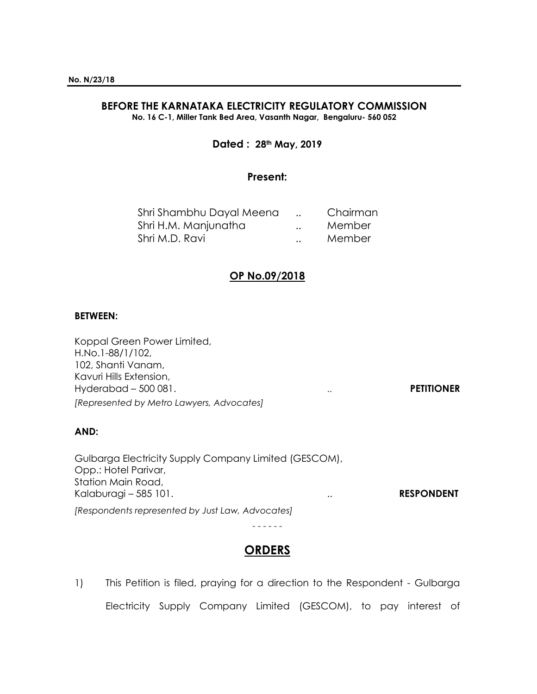# **BEFORE THE KARNATAKA ELECTRICITY REGULATORY COMMISSION**

**No. 16 C-1, Miller Tank Bed Area, Vasanth Nagar, Bengaluru- 560 052**

## **Dated : 28th May, 2019**

### **Present:**

|                      | Chairman |
|----------------------|----------|
| $\ddot{\phantom{a}}$ | Member   |
| $\ddot{\phantom{a}}$ | Member   |
|                      |          |

## **OP No.09/2018**

#### **BETWEEN:**

Koppal Green Power Limited, H.No.1-88/1/102, 102, Shanti Vanam, Kavuri Hills Extension, Hyderabad – 500 081. .. **PETITIONER** *[Represented by Metro Lawyers, Advocates]*

## **AND:**

Gulbarga Electricity Supply Company Limited (GESCOM), Opp.: Hotel Parivar, Station Main Road, Kalaburagi – 585 101. **RESPONDENT** *[Respondents represented by Just Law, Advocates]*

- - - - - -

## **ORDERS**

1) This Petition is filed, praying for a direction to the Respondent - Gulbarga Electricity Supply Company Limited (GESCOM), to pay interest of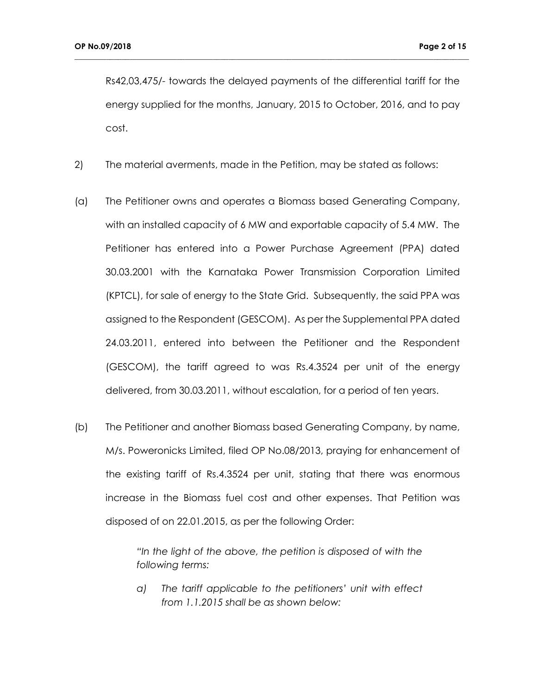Rs42,03,475/- towards the delayed payments of the differential tariff for the energy supplied for the months, January, 2015 to October, 2016, and to pay cost.

**\_\_\_\_\_\_\_\_\_\_\_\_\_\_\_\_\_\_\_\_\_\_\_\_\_\_\_\_\_\_\_\_\_\_\_\_\_\_\_\_\_\_\_\_\_\_\_\_\_\_\_\_\_\_\_\_\_\_\_\_\_\_\_\_\_\_\_\_\_\_\_\_\_\_\_\_\_\_\_\_\_\_\_\_\_\_\_\_\_\_\_\_\_\_\_\_\_\_\_\_**

- 2) The material averments, made in the Petition, may be stated as follows:
- (a) The Petitioner owns and operates a Biomass based Generating Company, with an installed capacity of 6 MW and exportable capacity of 5.4 MW. The Petitioner has entered into a Power Purchase Agreement (PPA) dated 30.03.2001 with the Karnataka Power Transmission Corporation Limited (KPTCL), for sale of energy to the State Grid. Subsequently, the said PPA was assigned to the Respondent (GESCOM). As per the Supplemental PPA dated 24.03.2011, entered into between the Petitioner and the Respondent (GESCOM), the tariff agreed to was Rs.4.3524 per unit of the energy delivered, from 30.03.2011, without escalation, for a period of ten years.
- (b) The Petitioner and another Biomass based Generating Company, by name, M/s. Poweronicks Limited, filed OP No.08/2013, praying for enhancement of the existing tariff of Rs.4.3524 per unit, stating that there was enormous increase in the Biomass fuel cost and other expenses. That Petition was disposed of on 22.01.2015, as per the following Order:

*"In the light of the above, the petition is disposed of with the following terms:*

*a) The tariff applicable to the petitioners' unit with effect from 1.1.2015 shall be as shown below:*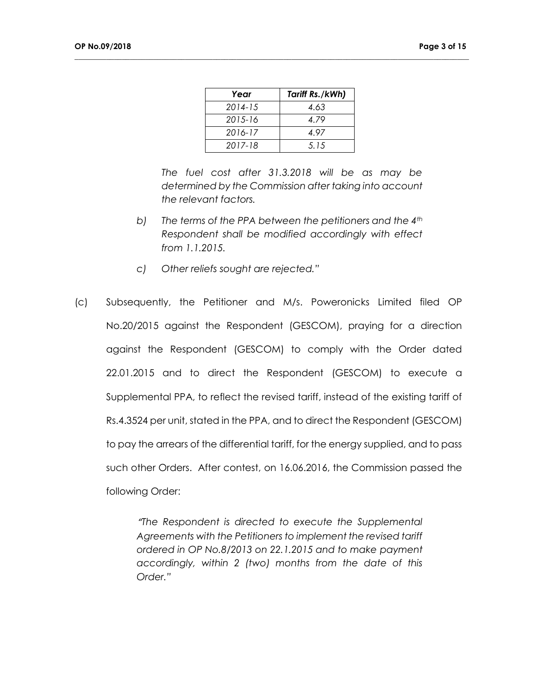| Year        | Tariff Rs./kWh) |
|-------------|-----------------|
| $2014 - 15$ | 4.63            |
| $2015 - 16$ | 4.79            |
| 2016-17     | 4 97            |
| $2017 - 18$ | 5.15            |

**\_\_\_\_\_\_\_\_\_\_\_\_\_\_\_\_\_\_\_\_\_\_\_\_\_\_\_\_\_\_\_\_\_\_\_\_\_\_\_\_\_\_\_\_\_\_\_\_\_\_\_\_\_\_\_\_\_\_\_\_\_\_\_\_\_\_\_\_\_\_\_\_\_\_\_\_\_\_\_\_\_\_\_\_\_\_\_\_\_\_\_\_\_\_\_\_\_\_\_\_**

*The fuel cost after 31.3.2018 will be as may be determined by the Commission after taking into account the relevant factors.*

- *b) The terms of the PPA between the petitioners and the 4th Respondent shall be modified accordingly with effect from 1.1.2015.*
- *c) Other reliefs sought are rejected."*
- (c) Subsequently, the Petitioner and M/s. Poweronicks Limited filed OP No.20/2015 against the Respondent (GESCOM), praying for a direction against the Respondent (GESCOM) to comply with the Order dated 22.01.2015 and to direct the Respondent (GESCOM) to execute a Supplemental PPA, to reflect the revised tariff, instead of the existing tariff of Rs.4.3524 per unit, stated in the PPA, and to direct the Respondent (GESCOM) to pay the arrears of the differential tariff, for the energy supplied, and to pass such other Orders. After contest, on 16.06.2016, the Commission passed the following Order:

*"The Respondent is directed to execute the Supplemental Agreements with the Petitioners to implement the revised tariff ordered in OP No.8/2013 on 22.1.2015 and to make payment accordingly, within 2 (two) months from the date of this Order."*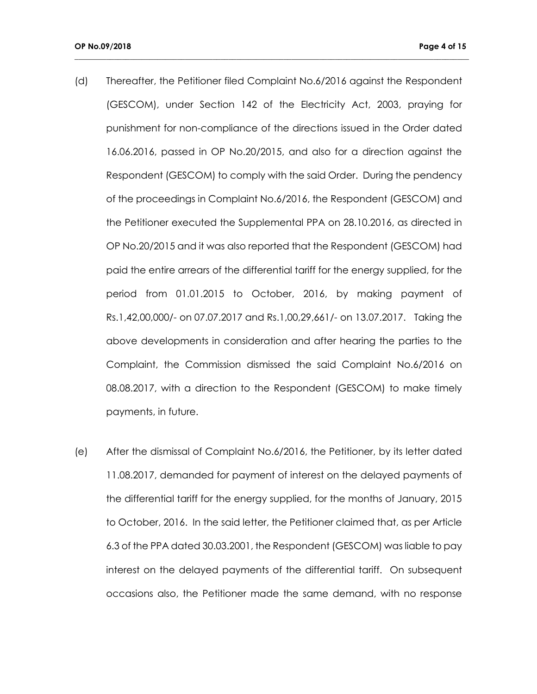(d) Thereafter, the Petitioner filed Complaint No.6/2016 against the Respondent (GESCOM), under Section 142 of the Electricity Act, 2003, praying for punishment for non-compliance of the directions issued in the Order dated 16.06.2016, passed in OP No.20/2015, and also for a direction against the Respondent (GESCOM) to comply with the said Order. During the pendency of the proceedings in Complaint No.6/2016, the Respondent (GESCOM) and the Petitioner executed the Supplemental PPA on 28.10.2016, as directed in OP No.20/2015 and it was also reported that the Respondent (GESCOM) had paid the entire arrears of the differential tariff for the energy supplied, for the period from 01.01.2015 to October, 2016, by making payment of Rs.1,42,00,000/- on 07.07.2017 and Rs.1,00,29,661/- on 13.07.2017. Taking the above developments in consideration and after hearing the parties to the Complaint, the Commission dismissed the said Complaint No.6/2016 on 08.08.2017, with a direction to the Respondent (GESCOM) to make timely payments, in future.

**\_\_\_\_\_\_\_\_\_\_\_\_\_\_\_\_\_\_\_\_\_\_\_\_\_\_\_\_\_\_\_\_\_\_\_\_\_\_\_\_\_\_\_\_\_\_\_\_\_\_\_\_\_\_\_\_\_\_\_\_\_\_\_\_\_\_\_\_\_\_\_\_\_\_\_\_\_\_\_\_\_\_\_\_\_\_\_\_\_\_\_\_\_\_\_\_\_\_\_\_**

(e) After the dismissal of Complaint No.6/2016, the Petitioner, by its letter dated 11.08.2017, demanded for payment of interest on the delayed payments of the differential tariff for the energy supplied, for the months of January, 2015 to October, 2016. In the said letter, the Petitioner claimed that, as per Article 6.3 of the PPA dated 30.03.2001, the Respondent (GESCOM) was liable to pay interest on the delayed payments of the differential tariff. On subsequent occasions also, the Petitioner made the same demand, with no response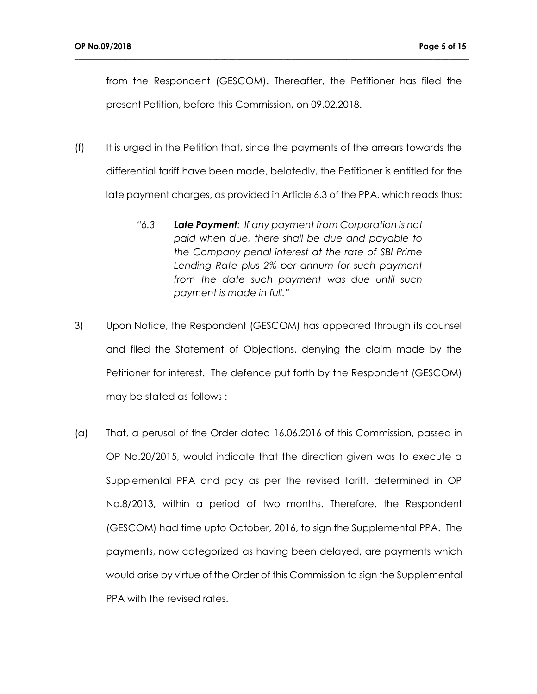from the Respondent (GESCOM). Thereafter, the Petitioner has filed the present Petition, before this Commission, on 09.02.2018.

- (f) It is urged in the Petition that, since the payments of the arrears towards the differential tariff have been made, belatedly, the Petitioner is entitled for the late payment charges, as provided in Article 6.3 of the PPA, which reads thus:
	- *"6.3 Late Payment: If any payment from Corporation is not paid when due, there shall be due and payable to the Company penal interest at the rate of SBI Prime Lending Rate plus 2% per annum for such payment from the date such payment was due until such payment is made in full."*
- 3) Upon Notice, the Respondent (GESCOM) has appeared through its counsel and filed the Statement of Objections, denying the claim made by the Petitioner for interest. The defence put forth by the Respondent (GESCOM) may be stated as follows :
- (a) That, a perusal of the Order dated 16.06.2016 of this Commission, passed in OP No.20/2015, would indicate that the direction given was to execute a Supplemental PPA and pay as per the revised tariff, determined in OP No.8/2013, within a period of two months. Therefore, the Respondent (GESCOM) had time upto October, 2016, to sign the Supplemental PPA. The payments, now categorized as having been delayed, are payments which would arise by virtue of the Order of this Commission to sign the Supplemental PPA with the revised rates.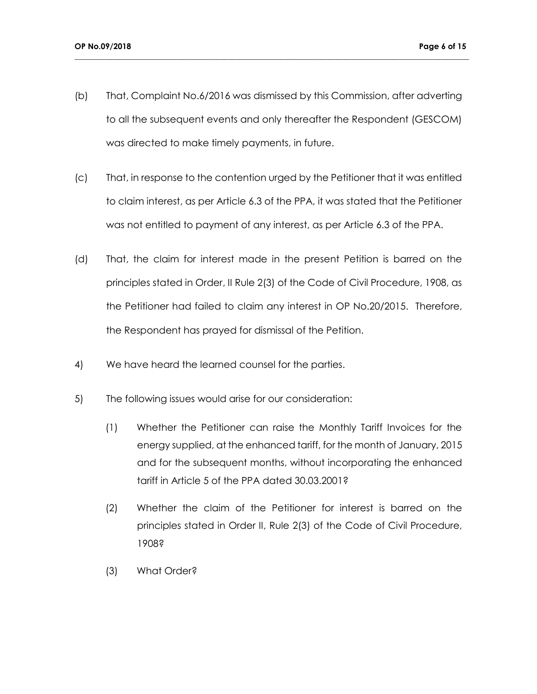(b) That, Complaint No.6/2016 was dismissed by this Commission, after adverting to all the subsequent events and only thereafter the Respondent (GESCOM) was directed to make timely payments, in future.

- (c) That, in response to the contention urged by the Petitioner that it was entitled to claim interest, as per Article 6.3 of the PPA, it was stated that the Petitioner was not entitled to payment of any interest, as per Article 6.3 of the PPA.
- (d) That, the claim for interest made in the present Petition is barred on the principles stated in Order, II Rule 2(3) of the Code of Civil Procedure, 1908, as the Petitioner had failed to claim any interest in OP No.20/2015. Therefore, the Respondent has prayed for dismissal of the Petition.
- 4) We have heard the learned counsel for the parties.
- 5) The following issues would arise for our consideration:
	- (1) Whether the Petitioner can raise the Monthly Tariff Invoices for the energy supplied, at the enhanced tariff, for the month of January, 2015 and for the subsequent months, without incorporating the enhanced tariff in Article 5 of the PPA dated 30.03.2001?
	- (2) Whether the claim of the Petitioner for interest is barred on the principles stated in Order II, Rule 2(3) of the Code of Civil Procedure, 1908?
	- (3) What Order?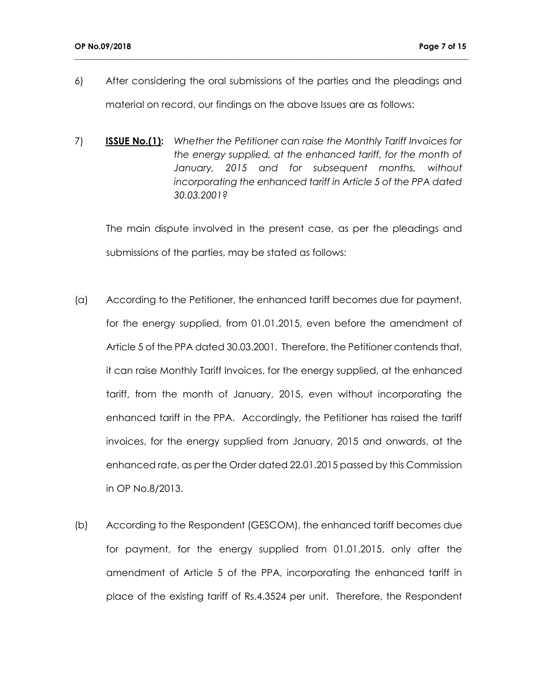6) After considering the oral submissions of the parties and the pleadings and material on record, our findings on the above Issues are as follows:

**\_\_\_\_\_\_\_\_\_\_\_\_\_\_\_\_\_\_\_\_\_\_\_\_\_\_\_\_\_\_\_\_\_\_\_\_\_\_\_\_\_\_\_\_\_\_\_\_\_\_\_\_\_\_\_\_\_\_\_\_\_\_\_\_\_\_\_\_\_\_\_\_\_\_\_\_\_\_\_\_\_\_\_\_\_\_\_\_\_\_\_\_\_\_\_\_\_\_\_\_**

7) **ISSUE No.(1):** *Whether the Petitioner can raise the Monthly Tariff Invoices for the energy supplied, at the enhanced tariff, for the month of January, 2015 and for subsequent months, without incorporating the enhanced tariff in Article 5 of the PPA dated 30.03.2001?*

The main dispute involved in the present case, as per the pleadings and submissions of the parties, may be stated as follows:

- (a) According to the Petitioner, the enhanced tariff becomes due for payment, for the energy supplied, from 01.01.2015, even before the amendment of Article 5 of the PPA dated 30.03.2001. Therefore, the Petitioner contends that, it can raise Monthly Tariff Invoices, for the energy supplied, at the enhanced tariff, from the month of January, 2015, even without incorporating the enhanced tariff in the PPA. Accordingly, the Petitioner has raised the tariff invoices, for the energy supplied from January, 2015 and onwards, at the enhanced rate, as per the Order dated 22.01.2015 passed by this Commission in OP No.8/2013.
- (b) According to the Respondent (GESCOM), the enhanced tariff becomes due for payment, for the energy supplied from 01.01.2015, only after the amendment of Article 5 of the PPA, incorporating the enhanced tariff in place of the existing tariff of Rs.4.3524 per unit. Therefore, the Respondent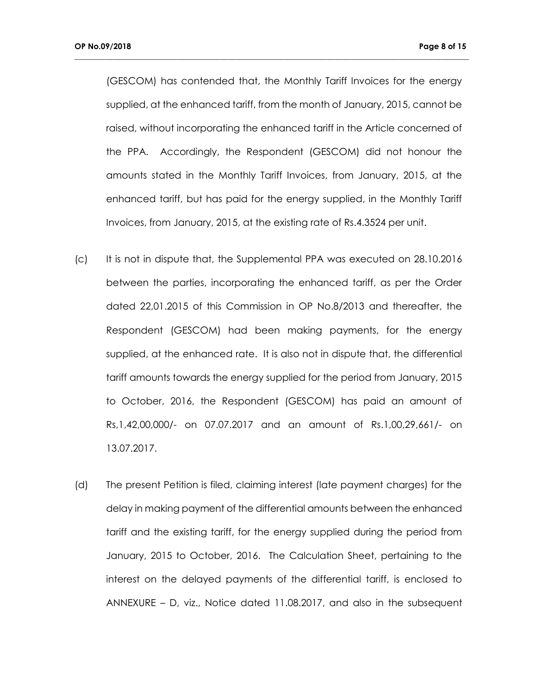(GESCOM) has contended that, the Monthly Tariff Invoices for the energy supplied, at the enhanced tariff, from the month of January, 2015, cannot be raised, without incorporating the enhanced tariff in the Article concerned of the PPA. Accordingly, the Respondent (GESCOM) did not honour the amounts stated in the Monthly Tariff Invoices, from January, 2015, at the enhanced tariff, but has paid for the energy supplied, in the Monthly Tariff Invoices, from January, 2015, at the existing rate of Rs.4.3524 per unit.

- (c) It is not in dispute that, the Supplemental PPA was executed on 28.10.2016 between the parties, incorporating the enhanced tariff, as per the Order dated 22,01.2015 of this Commission in OP No.8/2013 and thereafter, the Respondent (GESCOM) had been making payments, for the energy supplied, at the enhanced rate. It is also not in dispute that, the differential tariff amounts towards the energy supplied for the period from January, 2015 to October, 2016, the Respondent (GESCOM) has paid an amount of Rs,1,42,00,000/- on 07.07.2017 and an amount of Rs.1,00,29,661/- on 13.07.2017.
- (d) The present Petition is filed, claiming interest (late payment charges) for the delay in making payment of the differential amounts between the enhanced tariff and the existing tariff, for the energy supplied during the period from January, 2015 to October, 2016. The Calculation Sheet, pertaining to the interest on the delayed payments of the differential tariff, is enclosed to ANNEXURE – D, viz., Notice dated 11.08.2017, and also in the subsequent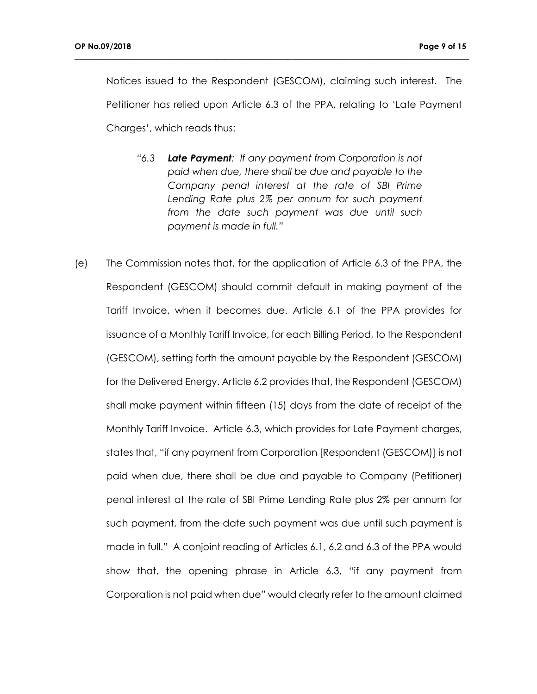Notices issued to the Respondent (GESCOM), claiming such interest. The Petitioner has relied upon Article 6.3 of the PPA, relating to 'Late Payment Charges', which reads thus:

- *"6.3 Late Payment: If any payment from Corporation is not paid when due, there shall be due and payable to the Company penal interest at the rate of SBI Prime Lending Rate plus 2% per annum for such payment from the date such payment was due until such payment is made in full."*
- (e) The Commission notes that, for the application of Article 6.3 of the PPA, the Respondent (GESCOM) should commit default in making payment of the Tariff Invoice, when it becomes due. Article 6.1 of the PPA provides for issuance of a Monthly Tariff Invoice, for each Billing Period, to the Respondent (GESCOM), setting forth the amount payable by the Respondent (GESCOM) for the Delivered Energy. Article 6.2 provides that, the Respondent (GESCOM) shall make payment within fifteen (15) days from the date of receipt of the Monthly Tariff Invoice. Article 6.3, which provides for Late Payment charges, states that, "if any payment from Corporation [Respondent (GESCOM)] is not paid when due, there shall be due and payable to Company (Petitioner) penal interest at the rate of SBI Prime Lending Rate plus 2% per annum for such payment, from the date such payment was due until such payment is made in full." A conjoint reading of Articles 6.1, 6.2 and 6.3 of the PPA would show that, the opening phrase in Article 6.3, "if any payment from Corporation is not paid when due" would clearly refer to the amount claimed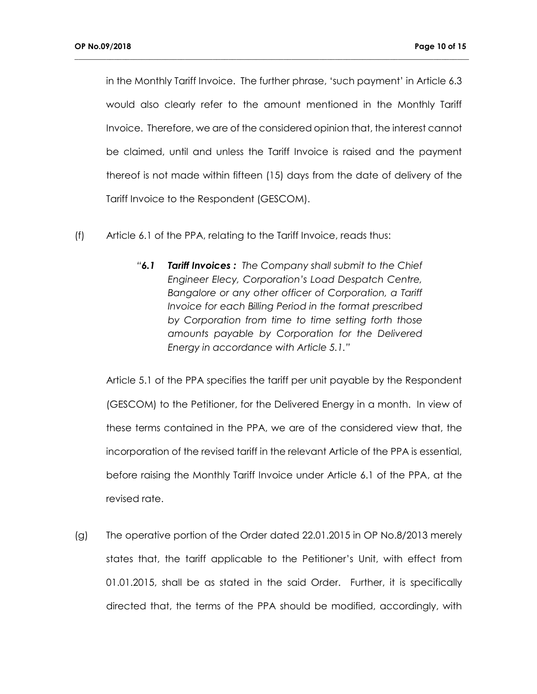in the Monthly Tariff Invoice. The further phrase, 'such payment' in Article 6.3 would also clearly refer to the amount mentioned in the Monthly Tariff Invoice. Therefore, we are of the considered opinion that, the interest cannot be claimed, until and unless the Tariff Invoice is raised and the payment thereof is not made within fifteen (15) days from the date of delivery of the Tariff Invoice to the Respondent (GESCOM).

**\_\_\_\_\_\_\_\_\_\_\_\_\_\_\_\_\_\_\_\_\_\_\_\_\_\_\_\_\_\_\_\_\_\_\_\_\_\_\_\_\_\_\_\_\_\_\_\_\_\_\_\_\_\_\_\_\_\_\_\_\_\_\_\_\_\_\_\_\_\_\_\_\_\_\_\_\_\_\_\_\_\_\_\_\_\_\_\_\_\_\_\_\_\_\_\_\_\_\_\_**

- (f) Article 6.1 of the PPA, relating to the Tariff Invoice, reads thus:
	- *"6.1 Tariff Invoices : The Company shall submit to the Chief Engineer Elecy, Corporation's Load Despatch Centre, Bangalore or any other officer of Corporation, a Tariff Invoice for each Billing Period in the format prescribed by Corporation from time to time setting forth those amounts payable by Corporation for the Delivered Energy in accordance with Article 5.1."*

Article 5.1 of the PPA specifies the tariff per unit payable by the Respondent (GESCOM) to the Petitioner, for the Delivered Energy in a month. In view of these terms contained in the PPA, we are of the considered view that, the incorporation of the revised tariff in the relevant Article of the PPA is essential, before raising the Monthly Tariff Invoice under Article 6.1 of the PPA, at the revised rate.

(g) The operative portion of the Order dated 22.01.2015 in OP No.8/2013 merely states that, the tariff applicable to the Petitioner's Unit, with effect from 01.01.2015, shall be as stated in the said Order. Further, it is specifically directed that, the terms of the PPA should be modified, accordingly, with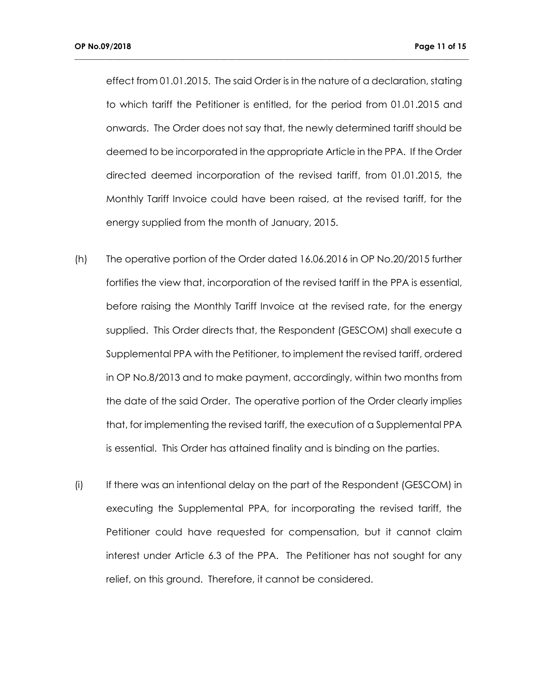effect from 01.01.2015. The said Order is in the nature of a declaration, stating to which tariff the Petitioner is entitled, for the period from 01.01.2015 and onwards. The Order does not say that, the newly determined tariff should be deemed to be incorporated in the appropriate Article in the PPA. If the Order directed deemed incorporation of the revised tariff, from 01.01.2015, the Monthly Tariff Invoice could have been raised, at the revised tariff, for the energy supplied from the month of January, 2015.

- (h) The operative portion of the Order dated 16.06.2016 in OP No.20/2015 further fortifies the view that, incorporation of the revised tariff in the PPA is essential, before raising the Monthly Tariff Invoice at the revised rate, for the energy supplied. This Order directs that, the Respondent (GESCOM) shall execute a Supplemental PPA with the Petitioner, to implement the revised tariff, ordered in OP No.8/2013 and to make payment, accordingly, within two months from the date of the said Order. The operative portion of the Order clearly implies that, for implementing the revised tariff, the execution of a Supplemental PPA is essential. This Order has attained finality and is binding on the parties.
- (i) If there was an intentional delay on the part of the Respondent (GESCOM) in executing the Supplemental PPA, for incorporating the revised tariff, the Petitioner could have requested for compensation, but it cannot claim interest under Article 6.3 of the PPA. The Petitioner has not sought for any relief, on this ground. Therefore, it cannot be considered.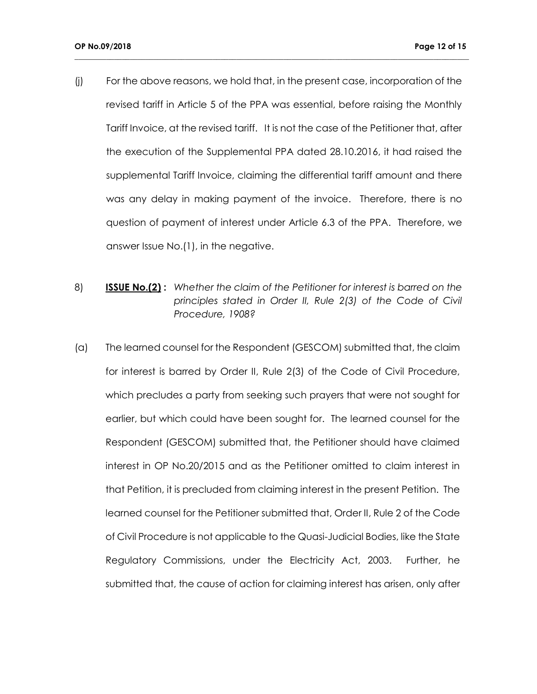(j) For the above reasons, we hold that, in the present case, incorporation of the revised tariff in Article 5 of the PPA was essential, before raising the Monthly Tariff Invoice, at the revised tariff. It is not the case of the Petitioner that, after the execution of the Supplemental PPA dated 28.10.2016, it had raised the supplemental Tariff Invoice, claiming the differential tariff amount and there was any delay in making payment of the invoice. Therefore, there is no question of payment of interest under Article 6.3 of the PPA. Therefore, we answer Issue No.(1), in the negative.

- 8) **ISSUE No.(2) :** *Whether the claim of the Petitioner for interest is barred on the principles stated in Order II, Rule 2(3) of the Code of Civil Procedure, 1908?*
- (a) The learned counsel for the Respondent (GESCOM) submitted that, the claim for interest is barred by Order II, Rule 2(3) of the Code of Civil Procedure, which precludes a party from seeking such prayers that were not sought for earlier, but which could have been sought for. The learned counsel for the Respondent (GESCOM) submitted that, the Petitioner should have claimed interest in OP No.20/2015 and as the Petitioner omitted to claim interest in that Petition, it is precluded from claiming interest in the present Petition. The learned counsel for the Petitioner submitted that, Order II, Rule 2 of the Code of Civil Procedure is not applicable to the Quasi-Judicial Bodies, like the State Regulatory Commissions, under the Electricity Act, 2003. Further, he submitted that, the cause of action for claiming interest has arisen, only after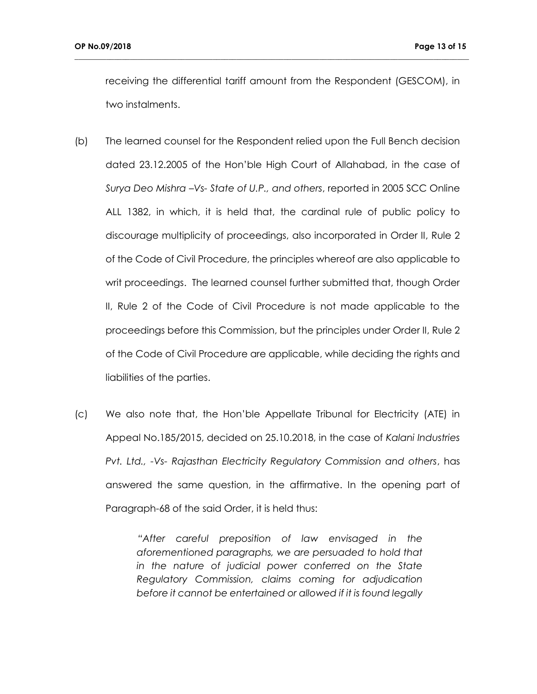receiving the differential tariff amount from the Respondent (GESCOM), in two instalments.

**\_\_\_\_\_\_\_\_\_\_\_\_\_\_\_\_\_\_\_\_\_\_\_\_\_\_\_\_\_\_\_\_\_\_\_\_\_\_\_\_\_\_\_\_\_\_\_\_\_\_\_\_\_\_\_\_\_\_\_\_\_\_\_\_\_\_\_\_\_\_\_\_\_\_\_\_\_\_\_\_\_\_\_\_\_\_\_\_\_\_\_\_\_\_\_\_\_\_\_\_**

- (b) The learned counsel for the Respondent relied upon the Full Bench decision dated 23.12.2005 of the Hon'ble High Court of Allahabad, in the case of *Surya Deo Mishra –Vs- State of U.P., and others*, reported in 2005 SCC Online ALL 1382, in which, it is held that, the cardinal rule of public policy to discourage multiplicity of proceedings, also incorporated in Order II, Rule 2 of the Code of Civil Procedure, the principles whereof are also applicable to writ proceedings. The learned counsel further submitted that, though Order II, Rule 2 of the Code of Civil Procedure is not made applicable to the proceedings before this Commission, but the principles under Order II, Rule 2 of the Code of Civil Procedure are applicable, while deciding the rights and liabilities of the parties.
- (c) We also note that, the Hon'ble Appellate Tribunal for Electricity (ATE) in Appeal No.185/2015, decided on 25.10.2018, in the case of *Kalani Industries Pvt. Ltd., -Vs- Rajasthan Electricity Regulatory Commission and others*, has answered the same question, in the affirmative. In the opening part of Paragraph-68 of the said Order, it is held thus:

*"After careful preposition of law envisaged in the aforementioned paragraphs, we are persuaded to hold that in the nature of judicial power conferred on the State Regulatory Commission, claims coming for adjudication before it cannot be entertained or allowed if it is found legally*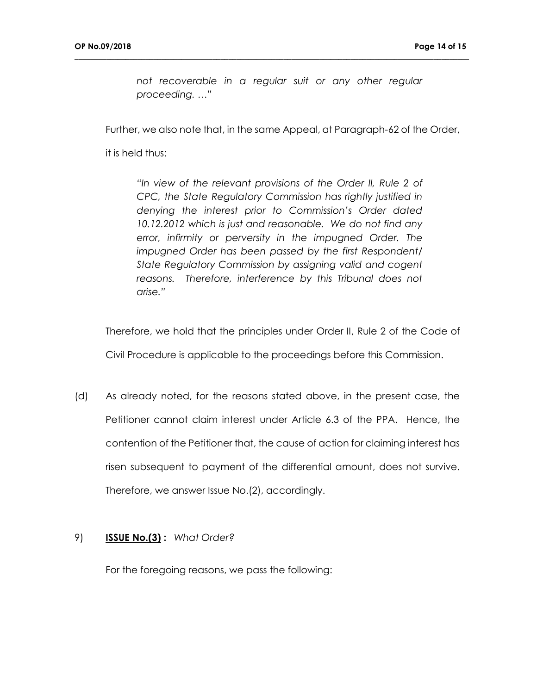*not recoverable in a regular suit or any other regular proceeding. …"*

**\_\_\_\_\_\_\_\_\_\_\_\_\_\_\_\_\_\_\_\_\_\_\_\_\_\_\_\_\_\_\_\_\_\_\_\_\_\_\_\_\_\_\_\_\_\_\_\_\_\_\_\_\_\_\_\_\_\_\_\_\_\_\_\_\_\_\_\_\_\_\_\_\_\_\_\_\_\_\_\_\_\_\_\_\_\_\_\_\_\_\_\_\_\_\_\_\_\_\_\_**

Further, we also note that, in the same Appeal, at Paragraph-62 of the Order,

it is held thus:

*"In view of the relevant provisions of the Order II, Rule 2 of CPC, the State Regulatory Commission has rightly justified in denying the interest prior to Commission's Order dated 10.12.2012 which is just and reasonable. We do not find any error, infirmity or perversity in the impugned Order. The impugned Order has been passed by the first Respondent/ State Regulatory Commission by assigning valid and cogent reasons. Therefore, interference by this Tribunal does not arise."*

Therefore, we hold that the principles under Order II, Rule 2 of the Code of Civil Procedure is applicable to the proceedings before this Commission.

(d) As already noted, for the reasons stated above, in the present case, the Petitioner cannot claim interest under Article 6.3 of the PPA. Hence, the contention of the Petitioner that, the cause of action for claiming interest has risen subsequent to payment of the differential amount, does not survive. Therefore, we answer Issue No.(2), accordingly.

### 9) **ISSUE No.(3) :** *What Order?*

For the foregoing reasons, we pass the following: